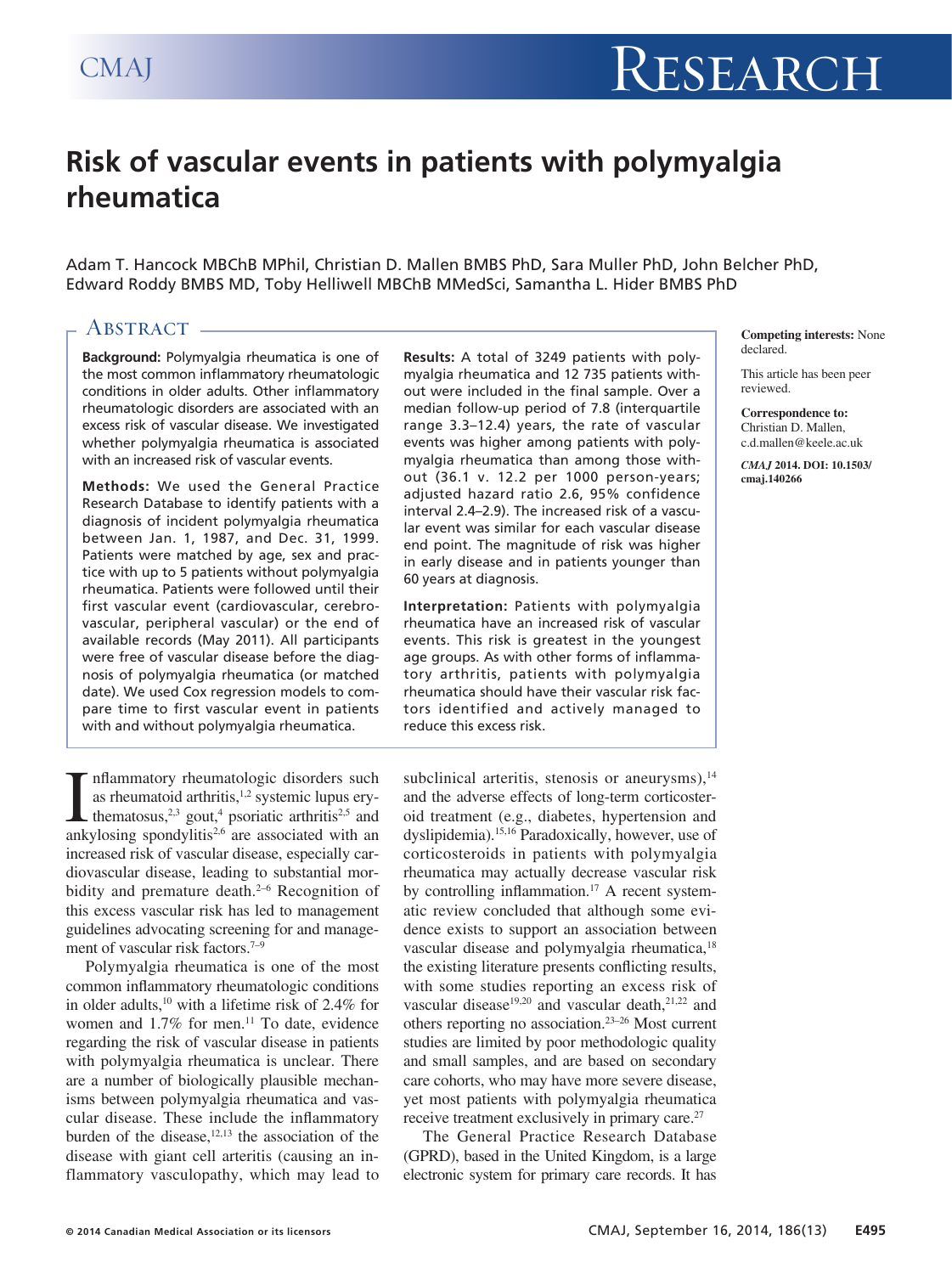# **Risk of vascular events in patients with polymyalgia rheumatica**

Adam T. Hancock MBChB MPhil, Christian D. Mallen BMBS PhD, Sara Muller PhD, John Belcher PhD, Edward Roddy BMBS MD, Toby Helliwell MBChB MMedSci, Samantha L. Hider BMBS PhD

# ABSTRACT -

**Background:** Polymyalgia rheumatica is one of the most common inflammatory rheumatologic conditions in older adults. Other inflammatory rheumatologic disorders are associated with an excess risk of vascular disease. We investigated whether polymyalgia rheumatica is associated with an increased risk of vascular events.

**Methods:** We used the General Practice Research Database to identify patients with a diagnosis of incident polymyalgia rheumatica between Jan. 1, 1987, and Dec. 31, 1999. Patients were matched by age, sex and practice with up to 5 patients without polymyalgia rheumatica. Patients were followed until their first vascular event (cardiovascular, cerebrovascular, peripheral vascular) or the end of available records (May 2011). All participants were free of vascular disease before the diagnosis of polymyalgia rheumatica (or matched date). We used Cox regression models to compare time to first vascular event in patients with and without polymyalgia rheumatica.

**Results:** A total of 3249 patients with polymyalgia rheumatica and 12 735 patients without were included in the final sample. Over a median follow-up period of 7.8 (interquartile range 3.3–12.4) years, the rate of vascular events was higher among patients with polymyalgia rheumatica than among those without (36.1 v. 12.2 per 1000 person-years; adjusted hazard ratio 2.6, 95% confidence interval 2.4–2.9). The increased risk of a vascular event was similar for each vascular disease end point. The magnitude of risk was higher in early disease and in patients younger than 60 years at diagnosis.

**Interpretation:** Patients with polymyalgia rheumatica have an increased risk of vascular events. This risk is greatest in the youngest age groups. As with other forms of inflammatory arthritis, patients with polymyalgia rheumatica should have their vascular risk factors identified and actively managed to reduce this excess risk.

**Competing interests:** None declared.

This article has been peer reviewed.

**Correspondence to:** Christian D. Mallen, c.d.mallen@keele.ac.uk

*CMAJ* **2014. DOI: 10.1503/ cmaj.140266**

**I** inflammatory rheumatologic disorders such as rheumatoid arthritis,<sup>1,2</sup> systemic lupus ery-<br>thematosus,<sup>2,3</sup> gout,<sup>4</sup> psoriatic arthritis<sup>2,5</sup> and ankylosing spondylitis<sup>2,6</sup> are associated with an nflammatory rheumatologic disorders such as rheumatoid arthritis,<sup>1,2</sup> systemic lupus erythematosus,<sup>2,3</sup> gout,<sup>4</sup> psoriatic arthritis<sup>2,5</sup> and increased risk of vascular disease, especially cardiovascular disease, leading to substantial morbidity and premature death.<sup>2-6</sup> Recognition of this excess vascular risk has led to management guidelines advocating screening for and management of vascular risk factors.<sup>7-9</sup>

Polymyalgia rheumatica is one of the most common inflammatory rheumatologic conditions in older adults,<sup>10</sup> with a lifetime risk of 2.4% for women and  $1.7\%$  for men.<sup>11</sup> To date, evidence regarding the risk of vascular disease in patients with polymyalgia rheumatica is unclear. There are a number of biologically plausible mechanisms between polymyalgia rheumatica and vascular disease. These include the inflammatory burden of the disease, $12,13$  the association of the disease with giant cell arteritis (causing an inflammatory vasculopathy, which may lead to subclinical arteritis, stenosis or aneurysms), $14$ and the adverse effects of long-term corticosteroid treatment (e.g., diabetes, hypertension and dyslipidemia).15,16 Paradoxically, however, use of corticosteroids in patients with polymyalgia rheumatica may actually decrease vascular risk by controlling inflammation.<sup>17</sup> A recent systematic review concluded that although some evidence exists to support an association between vascular disease and polymyalgia rheumatica,<sup>18</sup> the existing literature presents conflicting results, with some studies reporting an excess risk of vascular disease<sup>19,20</sup> and vascular death,<sup>21,22</sup> and others reporting no association.23–26 Most current studies are limited by poor methodologic quality and small samples, and are based on secondary care cohorts, who may have more severe disease, yet most patients with polymyalgia rheumatica receive treatment exclusively in primary care.<sup>27</sup>

The General Practice Research Database (GPRD), based in the United Kingdom, is a large electronic system for primary care records. It has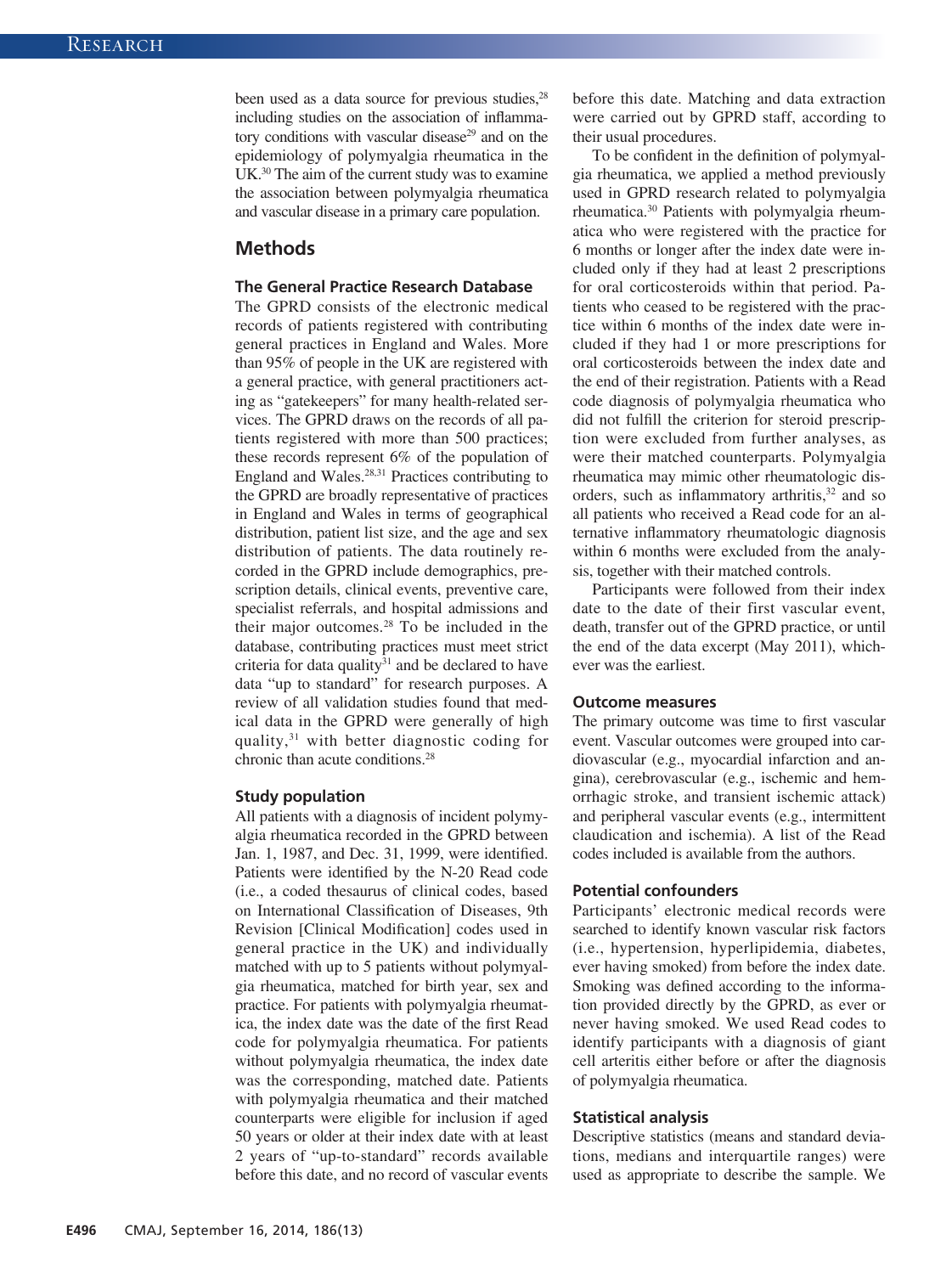been used as a data source for previous studies,<sup>28</sup> including studies on the association of inflammatory conditions with vascular disease<sup>29</sup> and on the epidemiology of polymyalgia rheumatica in the UK.30 The aim of the current study was to examine the association between polymyalgia rheumatica and vascular disease in a primary care population.

# **Methods**

## **The General Practice Research Database**

The GPRD consists of the electronic medical records of patients registered with contributing general practices in England and Wales. More than 95% of people in the UK are registered with a general practice, with general practitioners acting as "gatekeepers" for many health-related services. The GPRD draws on the records of all patients registered with more than 500 practices; these records represent 6% of the population of England and Wales.28,31 Practices contributing to the GPRD are broadly representative of practices in England and Wales in terms of geographical distribution, patient list size, and the age and sex distribution of patients. The data routinely recorded in the GPRD include demographics, prescription details, clinical events, preventive care, specialist referrals, and hospital admissions and their major outcomes.28 To be included in the database, contributing practices must meet strict criteria for data quality $31$  and be declared to have data "up to standard" for research purposes. A review of all validation studies found that medical data in the GPRD were generally of high quality,31 with better diagnostic coding for chronic than acute conditions.28

#### **Study population**

All patients with a diagnosis of incident polymyalgia rheumatica recorded in the GPRD between Jan. 1, 1987, and Dec. 31, 1999, were identified. Patients were identified by the N-20 Read code (i.e., a coded thesaurus of clinical codes, based on International Classification of Diseases, 9th Revision [Clinical Modification] codes used in general practice in the UK) and individually matched with up to 5 patients without polymyalgia rheumatica, matched for birth year, sex and practice. For patients with polymyalgia rheumatica, the index date was the date of the first Read code for polymyalgia rheumatica. For patients without polymyalgia rheumatica, the index date was the corresponding, matched date. Patients with polymyalgia rheumatica and their matched counterparts were eligible for inclusion if aged 50 years or older at their index date with at least 2 years of "up-to-standard" records available before this date, and no record of vascular events

before this date. Matching and data extraction were carried out by GPRD staff, according to their usual procedures.

To be confident in the definition of polymyalgia rheumatica, we applied a method previously used in GPRD research related to polymyalgia rheumatica.30 Patients with polymyalgia rheumatica who were registered with the practice for 6 months or longer after the index date were included only if they had at least 2 prescriptions for oral corticosteroids within that period. Patients who ceased to be registered with the practice within 6 months of the index date were included if they had 1 or more prescriptions for oral corticosteroids between the index date and the end of their registration. Patients with a Read code diagnosis of polymyalgia rheumatica who did not fulfill the criterion for steroid prescription were excluded from further analyses, as were their matched counterparts. Polymyalgia rheumatica may mimic other rheumatologic disorders, such as inflammatory arthritis,<sup>32</sup> and so all patients who received a Read code for an alternative inflammatory rheumatologic diagnosis within 6 months were excluded from the analysis, together with their matched controls.

Participants were followed from their index date to the date of their first vascular event, death, transfer out of the GPRD practice, or until the end of the data excerpt (May 2011), whichever was the earliest.

#### **Outcome measures**

The primary outcome was time to first vascular event. Vascular outcomes were grouped into cardiovascular (e.g., myocardial infarction and angina), cerebrovascular (e.g., ischemic and hemorrhagic stroke, and transient ischemic attack) and peripheral vascular events (e.g., intermittent claudication and ischemia). A list of the Read codes included is available from the authors.

#### **Potential confounders**

Participants' electronic medical records were searched to identify known vascular risk factors (i.e., hypertension, hyperlipidemia, diabetes, ever having smoked) from before the index date. Smoking was defined according to the information provided directly by the GPRD, as ever or never having smoked. We used Read codes to identify participants with a diagnosis of giant cell arteritis either before or after the diagnosis of polymyalgia rheumatica.

#### **Statistical analysis**

Descriptive statistics (means and standard deviations, medians and interquartile ranges) were used as appropriate to describe the sample. We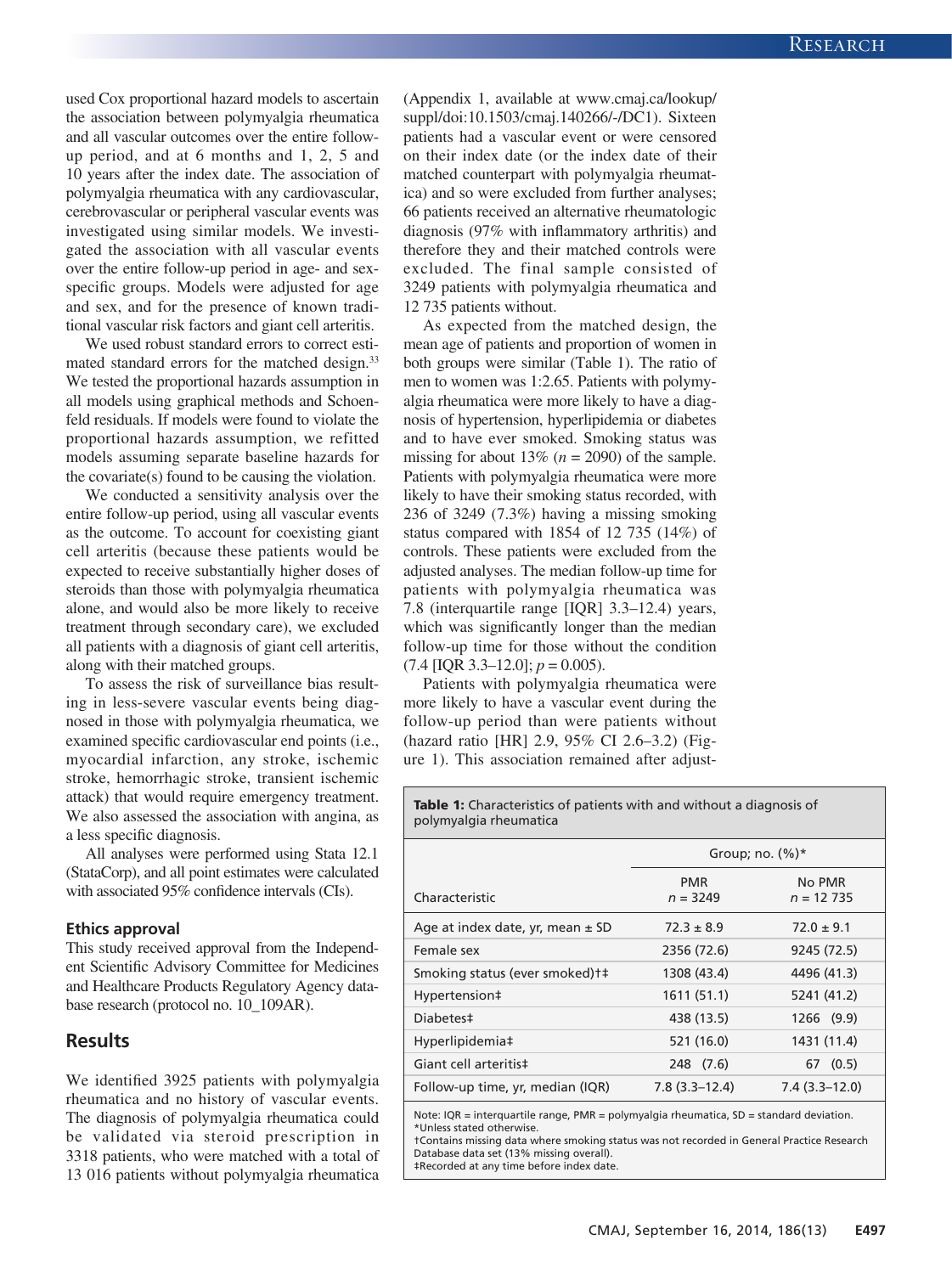used Cox proportional hazard models to ascertain the association between polymyalgia rheumatica and all vascular outcomes over the entire followup period, and at 6 months and 1, 2, 5 and 10 years after the index date. The association of polymyalgia rheumatica with any cardiovascular, cerebrovascular or peripheral vascular events was investigated using similar models. We investigated the association with all vascular events over the entire follow-up period in age- and sexspecific groups. Models were adjusted for age and sex, and for the presence of known traditional vascular risk factors and giant cell arteritis.

We used robust standard errors to correct estimated standard errors for the matched design.<sup>33</sup> We tested the proportional hazards assumption in all models using graphical methods and Schoenfeld residuals. If models were found to violate the proportional hazards assumption, we refitted models assuming separate baseline hazards for the covariate(s) found to be causing the violation.

We conducted a sensitivity analysis over the entire follow-up period, using all vascular events as the outcome. To account for coexisting giant cell arteritis (because these patients would be expected to receive substantially higher doses of steroids than those with polymyalgia rheumatica alone, and would also be more likely to receive treatment through secondary care), we excluded all patients with a diagnosis of giant cell arteritis, along with their matched groups.

To assess the risk of surveillance bias resulting in less-severe vascular events being diagnosed in those with polymyalgia rheumatica, we examined specific cardiovascular end points (i.e., myocardial infarction, any stroke, ischemic stroke, hemorrhagic stroke, transient ischemic attack) that would require emergency treatment. We also assessed the association with angina, as a less specific diagnosis.

All analyses were performed using Stata 12.1 (StataCorp), and all point estimates were calculated with associated 95% confidence intervals (CIs).

#### **Ethics approval**

This study received approval from the Independent Scientific Advisory Committee for Medicines and Healthcare Products Regulatory Agency database research (protocol no. 10\_109AR).

# **Results**

We identified 3925 patients with polymyalgia rheumatica and no history of vascular events. The diagnosis of polymyalgia rheumatica could be validated via steroid prescription in 3318 patients, who were matched with a total of 13 016 patients without polymyalgia rheumatica (Appendix 1, available at www.cmaj.ca/lookup/ suppl/doi:10.1503/cmaj.140266/-/DC1). Sixteen patients had a vascular event or were censored on their index date (or the index date of their matched counterpart with polymyalgia rheumatica) and so were excluded from further analyses; 66 patients received an alternative rheumatologic diagnosis (97% with inflammatory arthritis) and therefore they and their matched controls were excluded. The final sample consisted of 3249 patients with polymyalgia rheumatica and 12 735 patients without.

As expected from the matched design, the mean age of patients and proportion of women in both groups were similar (Table 1). The ratio of men to women was 1:2.65. Patients with polymyalgia rheumatica were more likely to have a diagnosis of hypertension, hyperlipidemia or diabetes and to have ever smoked. Smoking status was missing for about 13%  $(n = 2090)$  of the sample. Patients with polymyalgia rheumatica were more likely to have their smoking status recorded, with 236 of 3249 (7.3%) having a missing smoking status compared with 1854 of 12 735 (14%) of controls. These patients were excluded from the adjusted analyses. The median follow-up time for patients with polymyalgia rheumatica was 7.8 (interquartile range [IQR] 3.3–12.4) years, which was significantly longer than the median follow-up time for those without the condition  $(7.4$  [IQR 3.3–12.0];  $p = 0.005$ ).

Patients with polymyalgia rheumatica were more likely to have a vascular event during the follow-up period than were patients without (hazard ratio [HR] 2.9, 95% CI 2.6–3.2) (Figure 1). This association remained after adjust-

Table 1: Characteristics of patients with and without a diagnosis of polymyalgia rheumatica

| Group; no. $(\%)^*$      |                        |  |
|--------------------------|------------------------|--|
| <b>PMR</b><br>$n = 3249$ | No PMR<br>$n = 12,735$ |  |
| $72.3 \pm 8.9$           | $72.0 \pm 9.1$         |  |
| 2356 (72.6)              | 9245 (72.5)            |  |
| 1308 (43.4)              | 4496 (41.3)            |  |
| 1611 (51.1)              | 5241 (41.2)            |  |
| 438 (13.5)               | 1266 (9.9)             |  |
| 521 (16.0)               | 1431 (11.4)            |  |
| 248 (7.6)                | (0.5)<br>67            |  |
| $7.8(3.3-12.4)$          | $7.4(3.3-12.0)$        |  |
|                          |                        |  |

Note: IQR = interquartile range, PMR = polymyalgia rheumatica, SD = standard deviation. \*Unless stated otherwise.

†Contains missing data where smoking status was not recorded in General Practice Research Database data set (13% missing overall). ‡Recorded at any time before index date.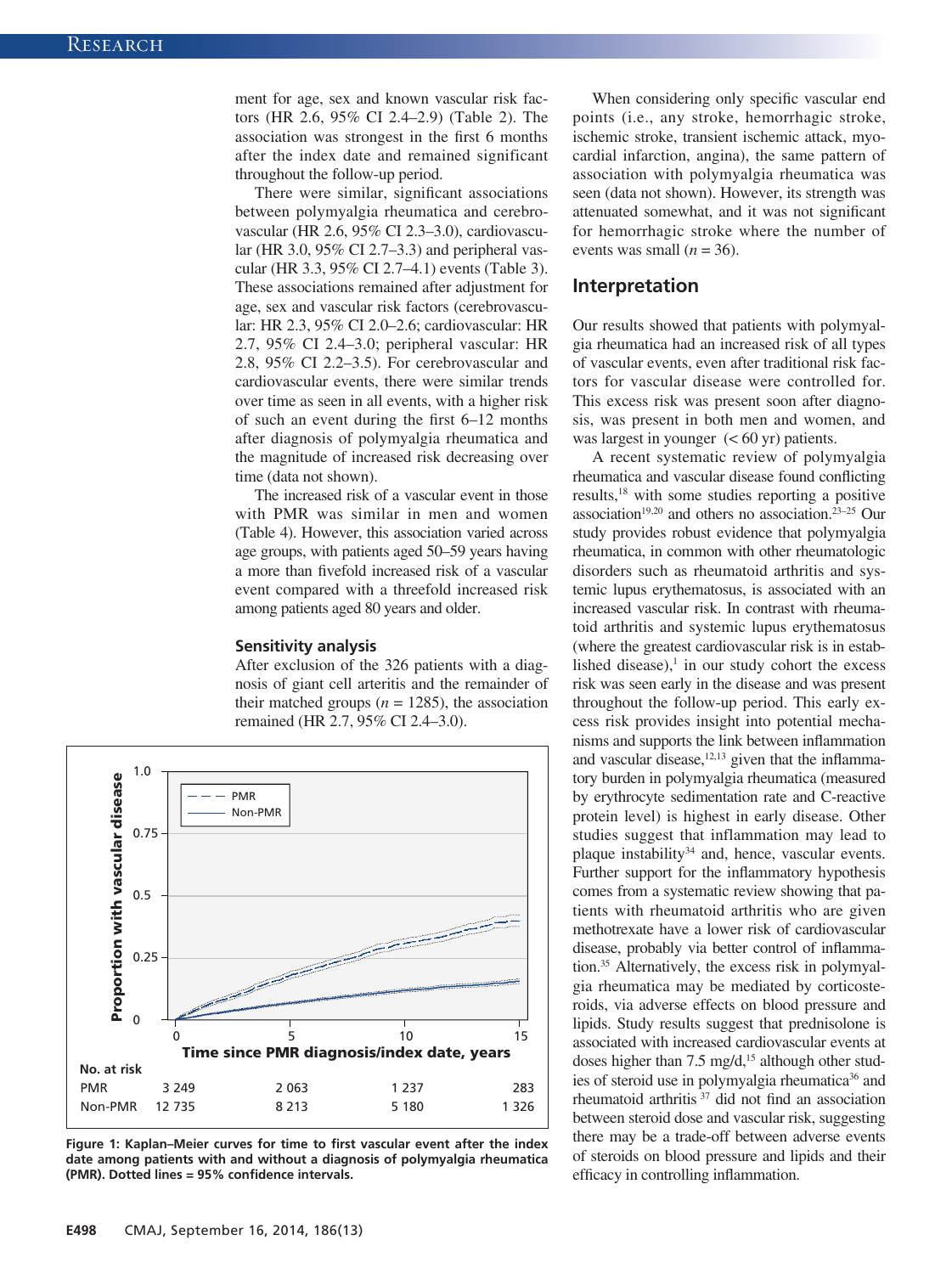ment for age, sex and known vascular risk factors (HR 2.6, 95% CI 2.4–2.9) (Table 2). The association was strongest in the first 6 months after the index date and remained significant throughout the follow-up period.

There were similar, significant associations between polymyalgia rheumatica and cerebrovascular (HR 2.6, 95% CI 2.3–3.0), cardiovascular (HR 3.0, 95% CI 2.7–3.3) and peripheral vascular (HR 3.3, 95% CI 2.7–4.1) events (Table 3). These associations remained after adjustment for age, sex and vascular risk factors (cerebrovascular: HR 2.3, 95% CI 2.0–2.6; cardiovascular: HR 2.7, 95% CI 2.4–3.0; peripheral vascular: HR 2.8, 95% CI 2.2–3.5). For cerebrovascular and cardiovascular events, there were similar trends over time as seen in all events, with a higher risk of such an event during the first 6–12 months after diagnosis of polymyalgia rheumatica and the magnitude of increased risk decreasing over time (data not shown).

The increased risk of a vascular event in those with PMR was similar in men and women (Table 4). However, this association varied across age groups, with patients aged 50–59 years having a more than fivefold increased risk of a vascular event compared with a threefold increased risk among patients aged 80 years and older.

#### **Sensitivity analysis**

After exclusion of the 326 patients with a diagnosis of giant cell arteritis and the remainder of their matched groups  $(n = 1285)$ , the association remained (HR 2.7, 95% CI 2.4–3.0).



**Figure 1: Kaplan–Meier curves for time to first vascular event after the index date among patients with and without a diagnosis of polymyalgia rheumatica (PMR). Dotted lines = 95% confidence intervals.**

When considering only specific vascular end points (i.e., any stroke, hemorrhagic stroke, ischemic stroke, transient ischemic attack, myocardial infarction, angina), the same pattern of association with polymyalgia rheumatica was seen (data not shown). However, its strength was attenuated somewhat, and it was not significant for hemorrhagic stroke where the number of events was small  $(n = 36)$ .

## **Interpretation**

Our results showed that patients with polymyalgia rheumatica had an increased risk of all types of vascular events, even after traditional risk factors for vascular disease were controlled for. This excess risk was present soon after diagnosis, was present in both men and women, and was largest in younger  $(< 60 \text{ yr})$  patients.

A recent systematic review of polymyalgia rheumatica and vascular disease found conflicting results,18 with some studies reporting a positive association<sup>19,20</sup> and others no association.<sup>23-25</sup> Our study provides robust evidence that polymyalgia rheumatica, in common with other rheumatologic disorders such as rheumatoid arthritis and systemic lupus erythematosus, is associated with an increased vascular risk. In contrast with rheumatoid arthritis and systemic lupus erythematosus (where the greatest cardiovascular risk is in established disease), $\frac{1}{1}$  in our study cohort the excess risk was seen early in the disease and was present throughout the follow-up period. This early excess risk provides insight into potential mechanisms and supports the link between inflammation and vascular disease, $12,13$  given that the inflammatory burden in polymyalgia rheumatica (measured by erythrocyte sedimentation rate and C-reactive protein level) is highest in early disease. Other studies suggest that inflammation may lead to plaque instability $34$  and, hence, vascular events. Further support for the inflammatory hypothesis comes from a systematic review showing that patients with rheumatoid arthritis who are given methotrexate have a lower risk of cardiovascular disease, probably via better control of inflammation.35 Alternatively, the excess risk in polymyalgia rheumatica may be mediated by corticosteroids, via adverse effects on blood pressure and lipids. Study results suggest that prednisolone is associated with increased cardiovascular events at doses higher than  $7.5 \text{ mg/d}$ ,<sup>15</sup> although other studies of steroid use in polymyalgia rheumatica<sup>36</sup> and rheumatoid arthritis 37 did not find an association between steroid dose and vascular risk, suggesting there may be a trade-off between adverse events of steroids on blood pressure and lipids and their efficacy in controlling inflammation.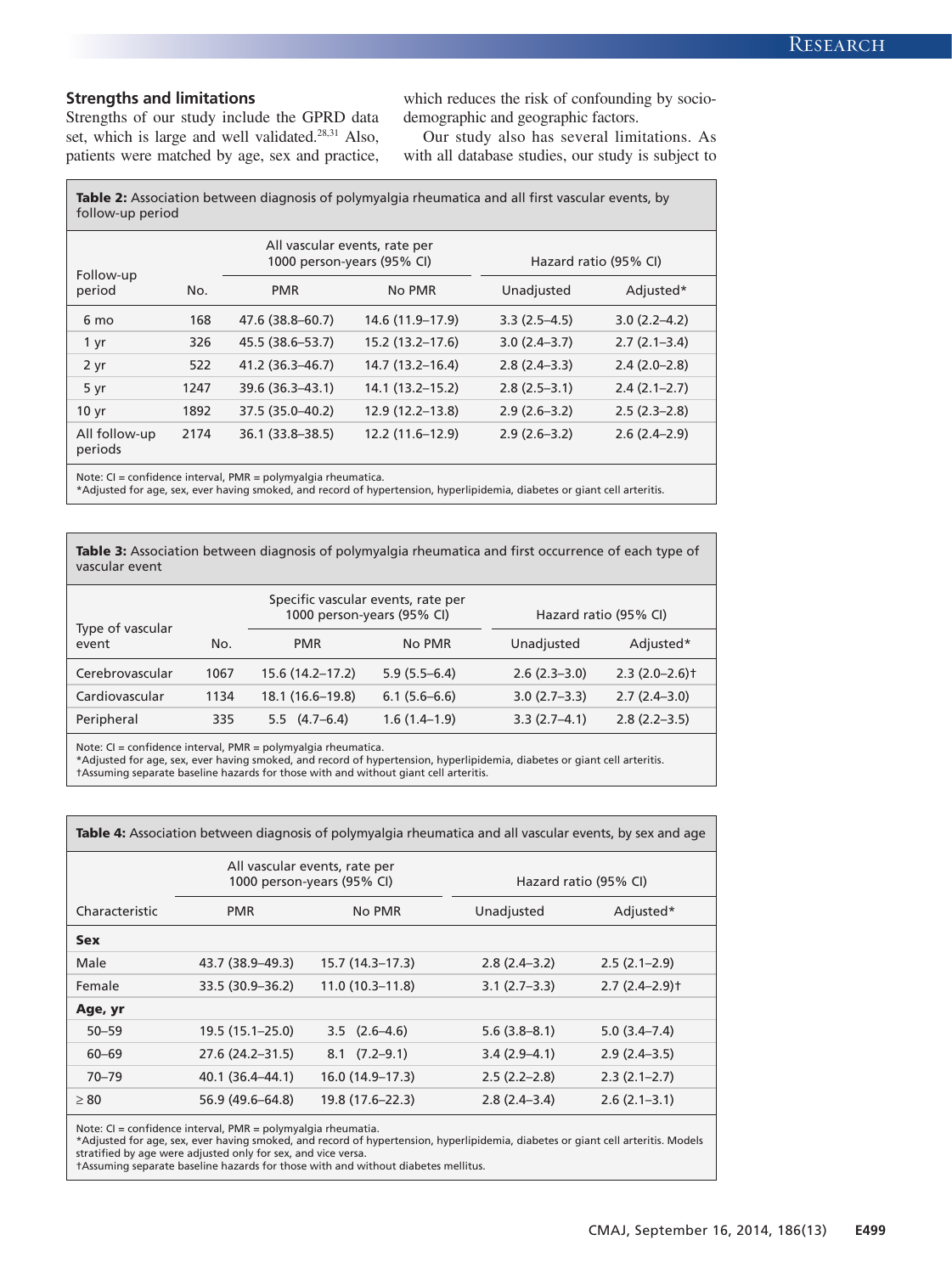### **Strengths and limitations**

Strengths of our study include the GPRD data set, which is large and well validated.<sup>28,31</sup> Also, patients were matched by age, sex and practice, which reduces the risk of confounding by sociodemographic and geographic factors.

Our study also has several limitations. As with all database studies, our study is subject to

Table 2: Association between diagnosis of polymyalgia rheumatica and all first vascular events, by follow-up period

| Follow-up                |      | All vascular events, rate per<br>1000 person-years (95% CI) |                   | Hazard ratio (95% CI) |                  |
|--------------------------|------|-------------------------------------------------------------|-------------------|-----------------------|------------------|
| period                   | No.  | <b>PMR</b>                                                  | No PMR            | Unadjusted            | Adjusted*        |
| 6 mo                     | 168  | 47.6 (38.8-60.7)                                            | 14.6 (11.9-17.9)  | $3.3(2.5-4.5)$        | $3.0(2.2 - 4.2)$ |
| 1 yr                     | 326  | 45.5 (38.6–53.7)                                            | 15.2 (13.2-17.6)  | $3.0(2.4-3.7)$        | $2.7(2.1-3.4)$   |
| 2 yr                     | 522  | 41.2 (36.3-46.7)                                            | 14.7 (13.2–16.4)  | $2.8(2.4-3.3)$        | $2.4(2.0-2.8)$   |
| 5 yr                     | 1247 | 39.6 (36.3-43.1)                                            | 14.1 (13.2–15.2)  | $2.8(2.5-3.1)$        | $2.4(2.1-2.7)$   |
| 10 <sub>yr</sub>         | 1892 | 37.5 (35.0-40.2)                                            | 12.9 (12.2-13.8)  | $2.9(2.6-3.2)$        | $2.5(2.3-2.8)$   |
| All follow-up<br>periods | 2174 | 36.1 (33.8-38.5)                                            | $12.2(11.6-12.9)$ | $2.9(2.6-3.2)$        | $2.6(2.4-2.9)$   |

Note: CI = confidence interval, PMR = polymyalgia rheumatica.

\*Adjusted for age, sex, ever having smoked, and record of hypertension, hyperlipidemia, diabetes or giant cell arteritis.

Table 3: Association between diagnosis of polymyalgia rheumatica and first occurrence of each type of vascular event

|                           |      | Specific vascular events, rate per<br>1000 person-years (95% CI) |                | Hazard ratio (95% CI) |                             |
|---------------------------|------|------------------------------------------------------------------|----------------|-----------------------|-----------------------------|
| Type of vascular<br>event | No.  | <b>PMR</b>                                                       | No PMR         | Unadjusted            | Adjusted*                   |
| Cerebrovascular           | 1067 | 15.6 (14.2-17.2)                                                 | $5.9(5.5-6.4)$ | $2.6(2.3-3.0)$        | $2.3(2.0-2.6)$ <sup>+</sup> |
| Cardiovascular            | 1134 | 18.1 (16.6-19.8)                                                 | $6.1(5.6-6.6)$ | $3.0(2.7-3.3)$        | $2.7(2.4-3.0)$              |
| Peripheral                | 335  | $5.5 \quad (4.7-6.4)$                                            | $1.6(1.4-1.9)$ | $3.3(2.7-4.1)$        | $2.8(2.2 - 3.5)$            |

Note: CI = confidence interval, PMR = polymyalgia rheumatica.

\*Adjusted for age, sex, ever having smoked, and record of hypertension, hyperlipidemia, diabetes or giant cell arteritis.

†Assuming separate baseline hazards for those with and without giant cell arteritis.

| <b>Table 4:</b> Association between diagnosis of polymyalgia rheumatica and all vascular events, by sex and age |                    |                                                             |                       |                  |  |
|-----------------------------------------------------------------------------------------------------------------|--------------------|-------------------------------------------------------------|-----------------------|------------------|--|
|                                                                                                                 |                    | All vascular events, rate per<br>1000 person-years (95% CI) | Hazard ratio (95% CI) |                  |  |
| Characteristic                                                                                                  | <b>PMR</b>         | No PMR                                                      | Unadjusted            | Adjusted*        |  |
| <b>Sex</b>                                                                                                      |                    |                                                             |                       |                  |  |
| Male                                                                                                            | 43.7 (38.9–49.3)   | $15.7(14.3-17.3)$                                           | $2.8(2.4-3.2)$        | $2.5(2.1-2.9)$   |  |
| Female                                                                                                          | 33.5 (30.9 - 36.2) | $11.0(10.3 - 11.8)$                                         | $3.1(2.7-3.3)$        | $2.7(2.4-2.9)$ t |  |
| Age, yr                                                                                                         |                    |                                                             |                       |                  |  |
| $50 - 59$                                                                                                       | 19.5 (15.1-25.0)   | $3.5$ $(2.6-4.6)$                                           | $5.6(3.8 - 8.1)$      | $5.0(3.4 - 7.4)$ |  |
| $60 - 69$                                                                                                       | 27.6 (24.2-31.5)   | $8.1 \quad (7.2 - 9.1)$                                     | $3.4(2.9 - 4.1)$      | $2.9(2.4-3.5)$   |  |
| $70 - 79$                                                                                                       | 40.1 (36.4–44.1)   | 16.0 (14.9-17.3)                                            | $2.5(2.2-2.8)$        | $2.3(2.1-2.7)$   |  |
| $\geq 80$                                                                                                       | 56.9 (49.6–64.8)   | 19.8 (17.6-22.3)                                            | $2.8(2.4-3.4)$        | $2.6(2.1-3.1)$   |  |

Note: CI = confidence interval, PMR = polymyalgia rheumatia.

\*Adjusted for age, sex, ever having smoked, and record of hypertension, hyperlipidemia, diabetes or giant cell arteritis. Models stratified by age were adjusted only for sex, and vice versa.

†Assuming separate baseline hazards for those with and without diabetes mellitus.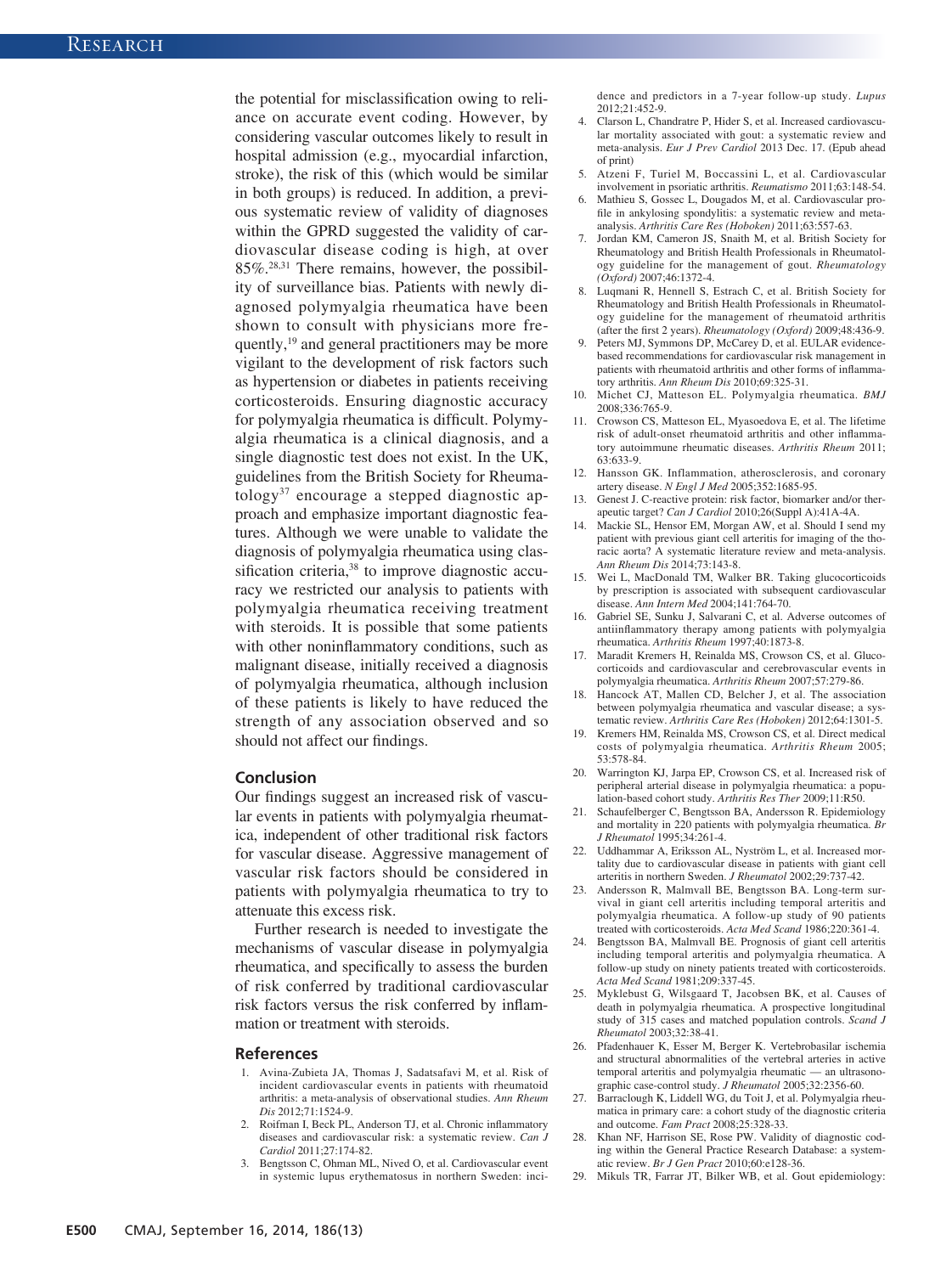the potential for misclassification owing to reliance on accurate event coding. However, by considering vascular outcomes likely to result in hospital admission (e.g., myocardial infarction, stroke), the risk of this (which would be similar in both groups) is reduced. In addition, a previous systematic review of validity of diagnoses within the GPRD suggested the validity of cardiovascular disease coding is high, at over 85%.28,31 There remains, however, the possibility of surveillance bias. Patients with newly diagnosed polymyalgia rheumatica have been shown to consult with physicians more frequently,<sup>19</sup> and general practitioners may be more vigilant to the development of risk factors such as hypertension or diabetes in patients receiving corticosteroids. Ensuring diagnostic accuracy for polymyalgia rheumatica is difficult. Polymyalgia rheumatica is a clinical diagnosis, and a single diagnostic test does not exist. In the UK, guidelines from the British Society for Rheumatology<sup>37</sup> encourage a stepped diagnostic approach and emphasize important diagnostic features. Although we were unable to validate the diagnosis of polymyalgia rheumatica using classification criteria,<sup>38</sup> to improve diagnostic accuracy we restricted our analysis to patients with polymyalgia rheumatica receiving treatment with steroids. It is possible that some patients with other noninflammatory conditions, such as malignant disease, initially received a diagnosis of polymyalgia rheumatica, although inclusion of these patients is likely to have reduced the strength of any association observed and so should not affect our findings.

#### **Conclusion**

Our findings suggest an increased risk of vascular events in patients with polymyalgia rheumatica, independent of other traditional risk factors for vascular disease. Aggressive management of vascular risk factors should be considered in patients with polymyalgia rheumatica to try to attenuate this excess risk.

Further research is needed to investigate the mechanisms of vascular disease in polymyalgia rheumatica, and specifically to assess the burden of risk conferred by traditional cardiovascular risk factors versus the risk conferred by inflammation or treatment with steroids.

#### **References**

- 1. Avina-Zubieta JA, Thomas J, Sadatsafavi M, et al. Risk of incident cardiovascular events in patients with rheumatoid arthritis: a meta-analysis of observational studies. *Ann Rheum Dis* 2012;71:1524-9.
- 2. Roifman I, Beck PL, Anderson TJ, et al. Chronic inflammatory diseases and cardiovascular risk: a systematic review. *Can J Cardiol* 2011;27:174-82.
- 3. Bengtsson C, Ohman ML, Nived O, et al. Cardiovascular event in systemic lupus erythematosus in northern Sweden: inci-

dence and predictors in a 7-year follow-up study. *Lupus*  $2012.21:452-9$ 

- 4. Clarson L, Chandratre P, Hider S, et al. Increased cardiovascular mortality associated with gout: a systematic review and meta-analysis. *Eur J Prev Cardiol* 2013 Dec. 17. (Epub ahead of print)
- 5. Atzeni F, Turiel M, Boccassini L, et al. Cardiovascular involvement in psoriatic arthritis. *Reumatismo* 2011;63:148-54.
- Mathieu S, Gossec L, Dougados M, et al. Cardiovascular profile in ankylosing spondylitis: a systematic review and metaanalysis. *Arthritis Care Res (Hoboken)* 2011;63:557-63.
- 7. Jordan KM, Cameron JS, Snaith M, et al. British Society for Rheumatology and British Health Professionals in Rheumatology guideline for the management of gout. *Rheumatology (Oxford)* 2007;46:1372-4.
- 8. Luqmani R, Hennell S, Estrach C, et al. British Society for Rheumatology and British Health Professionals in Rheumatology guideline for the management of rheumatoid arthritis (after the first 2 years). *Rheumatology (Oxford)* 2009;48:436-9.
- 9. Peters MJ, Symmons DP, McCarey D, et al. EULAR evidencebased recommendations for cardiovascular risk management in patients with rheumatoid arthritis and other forms of inflammatory arthritis. *Ann Rheum Dis* 2010;69:325-31.
- 10. Michet CJ, Matteson EL. Polymyalgia rheumatica. *BMJ* 2008;336:765-9.
- 11. Crowson CS, Matteson EL, Myasoedova E, et al. The lifetime risk of adult-onset rheumatoid arthritis and other inflammatory autoimmune rheumatic diseases. *Arthritis Rheum* 2011; 63:633-9.
- 12. Hansson GK. Inflammation, atherosclerosis, and coronary artery disease. *N Engl J Med* 2005;352:1685-95.
- 13. Genest J. C-reactive protein: risk factor, biomarker and/or therapeutic target? *Can J Cardiol* 2010;26(Suppl A):41A-4A.
- 14. Mackie SL, Hensor EM, Morgan AW, et al. Should I send my patient with previous giant cell arteritis for imaging of the thoracic aorta? A systematic literature review and meta-analysis. *Ann Rheum Dis* 2014;73:143-8.
- 15. Wei L, MacDonald TM, Walker BR. Taking glucocorticoids by prescription is associated with subsequent cardiovascular disease. *Ann Intern Med* 2004;141:764-70.
- 16. Gabriel SE, Sunku J, Salvarani C, et al. Adverse outcomes of antiinflammatory therapy among patients with polymyalgia rheumatica. *Arthritis Rheum* 1997;40:1873-8.
- 17. Maradit Kremers H, Reinalda MS, Crowson CS, et al. Glucocorticoids and cardiovascular and cerebrovascular events in polymyalgia rheumatica. *Arthritis Rheum* 2007;57:279-86.
- 18. Hancock AT, Mallen CD, Belcher J, et al. The association between polymyalgia rheumatica and vascular disease; a systematic review. *Arthritis Care Res (Hoboken)* 2012;64:1301-5.
- 19. Kremers HM, Reinalda MS, Crowson CS, et al. Direct medical costs of polymyalgia rheumatica. *Arthritis Rheum* 2005; 53:578-84.
- 20. Warrington KJ, Jarpa EP, Crowson CS, et al. Increased risk of peripheral arterial disease in polymyalgia rheumatica: a population-based cohort study. *Arthritis Res Ther* 2009;11:R50.
- 21. Schaufelberger C, Bengtsson BA, Andersson R. Epidemiology and mortality in 220 patients with polymyalgia rheumatica. *Br J Rheumatol* 1995;34:261-4.
- 22. Uddhammar A, Eriksson AL, Nyström L, et al. Increased mortality due to cardiovascular disease in patients with giant cell arteritis in northern Sweden. *J Rheumatol* 2002;29:737-42.
- 23. Andersson R, Malmvall BE, Bengtsson BA. Long-term survival in giant cell arteritis including temporal arteritis and polymyalgia rheumatica. A follow-up study of 90 patients treated with corticosteroids. *Acta Med Scand* 1986;220:361-4.
- 24. Bengtsson BA, Malmvall BE. Prognosis of giant cell arteritis including temporal arteritis and polymyalgia rheumatica. A follow-up study on ninety patients treated with corticosteroids. *Acta Med Scand* 1981;209:337-45.
- 25. Myklebust G, Wilsgaard T, Jacobsen BK, et al. Causes of death in polymyalgia rheumatica. A prospective longitudinal study of 315 cases and matched population controls. *Scand J Rheumatol* 2003;32:38-41.
- 26. Pfadenhauer K, Esser M, Berger K. Vertebrobasilar ischemia and structural abnormalities of the vertebral arteries in active temporal arteritis and polymyalgia rheumatic — an ultrasonographic case-control study. *J Rheumatol* 2005;32:2356-60.
- 27. Barraclough K, Liddell WG, du Toit J, et al. Polymyalgia rheumatica in primary care: a cohort study of the diagnostic criteria and outcome. *Fam Pract* 2008;25:328-33.
- 28. Khan NF, Harrison SE, Rose PW. Validity of diagnostic coding within the General Practice Research Database: a systematic review. *Br J Gen Pract* 2010;60:e128-36.
- 29. Mikuls TR, Farrar JT, Bilker WB, et al. Gout epidemiology: